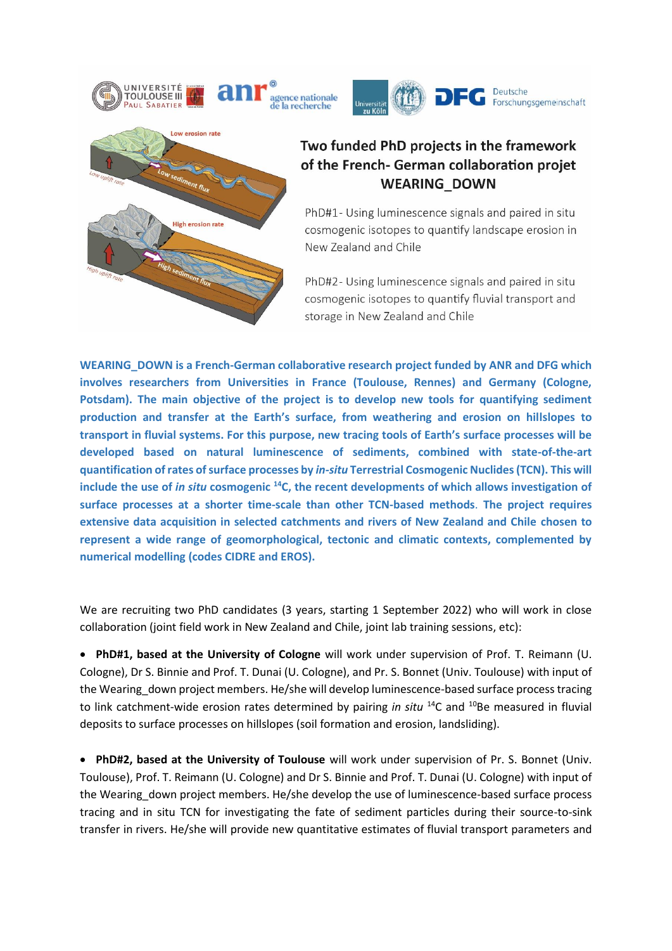





## Two funded PhD projects in the framework of the French- German collaboration projet **WEARING DOWN**

PhD#1- Using luminescence signals and paired in situ cosmogenic isotopes to quantify landscape erosion in New Zealand and Chile

PhD#2- Using luminescence signals and paired in situ cosmogenic isotopes to quantify fluvial transport and storage in New Zealand and Chile

**WEARING\_DOWN is a French-German collaborative research project funded by ANR and DFG which involves researchers from Universities in France (Toulouse, Rennes) and Germany (Cologne, Potsdam). The main objective of the project is to develop new tools for quantifying sediment production and transfer at the Earth's surface, from weathering and erosion on hillslopes to transport in fluvial systems. For this purpose, new tracing tools of Earth's surface processes will be developed based on natural luminescence of sediments, combined with state-of-the-art quantification of rates of surface processes by** *in-situ* **Terrestrial Cosmogenic Nuclides(TCN). This will include the use of** *in situ* **cosmogenic <sup>14</sup>C, the recent developments of which allows investigation of surface processes at a shorter time-scale than other TCN-based methods**. **The project requires extensive data acquisition in selected catchments and rivers of New Zealand and Chile chosen to represent a wide range of geomorphological, tectonic and climatic contexts, complemented by numerical modelling (codes CIDRE and EROS).** 

We are recruiting two PhD candidates (3 years, starting 1 September 2022) who will work in close collaboration (joint field work in New Zealand and Chile, joint lab training sessions, etc):

• **PhD#1, based at the University of Cologne** will work under supervision of Prof. T. Reimann (U. Cologne), Dr S. Binnie and Prof. T. Dunai (U. Cologne), and Pr. S. Bonnet (Univ. Toulouse) with input of the Wearing down project members. He/she will develop luminescence-based surface process tracing to link catchment-wide erosion rates determined by pairing *in situ* <sup>14</sup>C and <sup>10</sup>Be measured in fluvial deposits to surface processes on hillslopes (soil formation and erosion, landsliding).

• **PhD#2, based at the University of Toulouse** will work under supervision of Pr. S. Bonnet (Univ. Toulouse), Prof. T. Reimann (U. Cologne) and Dr S. Binnie and Prof. T. Dunai (U. Cologne) with input of the Wearing down project members. He/she develop the use of luminescence-based surface process tracing and in situ TCN for investigating the fate of sediment particles during their source-to-sink transfer in rivers. He/she will provide new quantitative estimates of fluvial transport parameters and